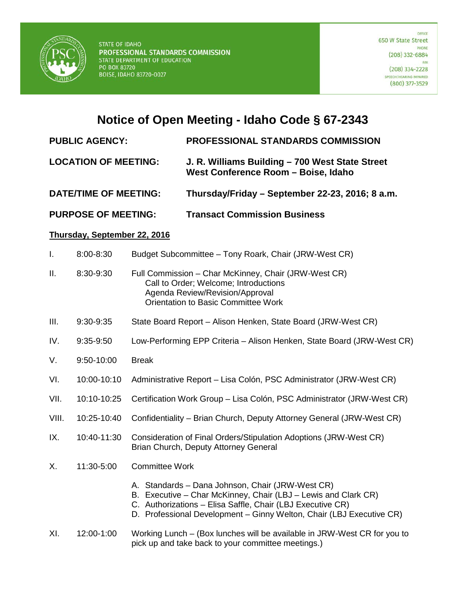

## **Notice of Open Meeting - Idaho Code § 67-2343**

## **PUBLIC AGENCY: PROFESSIONAL STANDARDS COMMISSION**

- **LOCATION OF MEETING: J. R. Williams Building – 700 West State Street West Conference Room – Boise, Idaho**
- **DATE/TIME OF MEETING: Thursday/Friday – September 22-23, 2016; 8 a.m.**
- **PURPOSE OF MEETING: Transact Commission Business**

## **Thursday, September 22, 2016**

|  | $8:00 - 8:30$ | Budget Subcommittee - Tony Roark, Chair (JRW-West CR) |  |  |
|--|---------------|-------------------------------------------------------|--|--|
|--|---------------|-------------------------------------------------------|--|--|

- II. 8:30-9:30 Full Commission Char McKinney, Chair (JRW-West CR) Call to Order; Welcome; Introductions Agenda Review/Revision/Approval Orientation to Basic Committee Work
- III. 9:30-9:35 State Board Report Alison Henken, State Board (JRW-West CR)
- IV. 9:35-9:50 Low-Performing EPP Criteria Alison Henken, State Board (JRW-West CR)
- V. 9:50-10:00 Break
- VI. 10:00-10:10 Administrative Report Lisa Colón, PSC Administrator (JRW-West CR)
- VII. 10:10-10:25 Certification Work Group Lisa Colón, PSC Administrator (JRW-West CR)
- VIII. 10:25-10:40 Confidentiality Brian Church, Deputy Attorney General (JRW-West CR)
- IX. 10:40-11:30 Consideration of Final Orders/Stipulation Adoptions (JRW-West CR) Brian Church, Deputy Attorney General
- X. 11:30-5:00 Committee Work
	- A. Standards Dana Johnson, Chair (JRW-West CR)
	- B. Executive Char McKinney, Chair (LBJ Lewis and Clark CR)
	- C. Authorizations Elisa Saffle, Chair (LBJ Executive CR)
	- D. Professional Development Ginny Welton, Chair (LBJ Executive CR)
- XI. 12:00-1:00 Working Lunch (Box lunches will be available in JRW-West CR for you to pick up and take back to your committee meetings.)